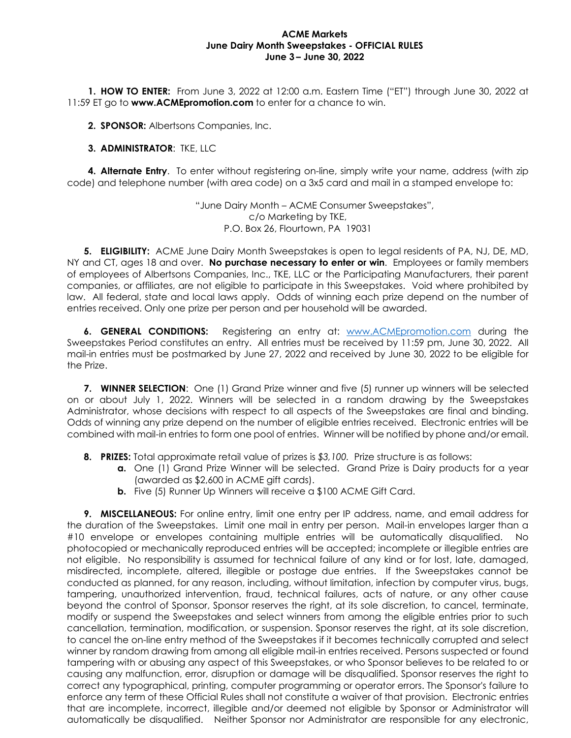## **ACME Markets June Dairy Month Sweepstakes - OFFICIAL RULES June 3 – June 30, 2022**

**1. HOW TO ENTER:** From June 3, 2022 at 12:00 a.m. Eastern Time ("ET") through June 30, 2022 at 11:59 ET go to **www.ACMEpromotion.com** to enter for a chance to win.

**2. SPONSOR:** Albertsons Companies, Inc.

## **3. ADMINISTRATOR**: TKE, LLC

**4. Alternate Entry**. To enter without registering on-line, simply write your name, address (with zip code) and telephone number (with area code) on a 3x5 card and mail in a stamped envelope to:

> "June Dairy Month – ACME Consumer Sweepstakes", c/o Marketing by TKE, P.O. Box 26, Flourtown, PA 19031

**5. ELIGIBILITY:** ACME June Dairy Month Sweepstakes is open to legal residents of PA, NJ, DE, MD, NY and CT, ages 18 and over. **No purchase necessary to enter or win**. Employees or family members of employees of Albertsons Companies, Inc., TKE, LLC or the Participating Manufacturers, their parent companies, or affiliates, are not eligible to participate in this Sweepstakes. Void where prohibited by law. All federal, state and local laws apply. Odds of winning each prize depend on the number of entries received. Only one prize per person and per household will be awarded.

**6. GENERAL CONDITIONS:** Registering an entry at: [www.ACMEpromotion.com](http://www.acmepromotion.com/) during the Sweepstakes Period constitutes an entry. All entries must be received by 11:59 pm, June 30, 2022. All mail-in entries must be postmarked by June 27, 2022 and received by June 30, 2022 to be eligible for the Prize.

**7. WINNER SELECTION**: One (1) Grand Prize winner and five (5) runner up winners will be selected on or about July 1, 2022. Winners will be selected in a random drawing by the Sweepstakes Administrator, whose decisions with respect to all aspects of the Sweepstakes are final and binding. Odds of winning any prize depend on the number of eligible entries received. Electronic entries will be combined with mail-in entries to form one pool of entries. Winner will be notified by phone and/or email.

- **8. PRIZES:** Total approximate retail value of prizes is *\$3,100.* Prize structure is as follows:
	- **a.** One (1) Grand Prize Winner will be selected. Grand Prize is Dairy products for a year (awarded as \$2,600 in ACME gift cards).
	- **b.** Five (5) Runner Up Winners will receive a \$100 ACME Gift Card.

**9. MISCELLANEOUS:** For online entry, limit one entry per IP address, name, and email address for the duration of the Sweepstakes. Limit one mail in entry per person. Mail-in envelopes larger than a #10 envelope or envelopes containing multiple entries will be automatically disqualified. No photocopied or mechanically reproduced entries will be accepted; incomplete or illegible entries are not eligible. No responsibility is assumed for technical failure of any kind or for lost, late, damaged, misdirected, incomplete, altered, illegible or postage due entries. If the Sweepstakes cannot be conducted as planned, for any reason, including, without limitation, infection by computer virus, bugs, tampering, unauthorized intervention, fraud, technical failures, acts of nature, or any other cause beyond the control of Sponsor, Sponsor reserves the right, at its sole discretion, to cancel, terminate, modify or suspend the Sweepstakes and select winners from among the eligible entries prior to such cancellation, termination, modification, or suspension. Sponsor reserves the right, at its sole discretion, to cancel the on-line entry method of the Sweepstakes if it becomes technically corrupted and select winner by random drawing from among all eligible mail-in entries received. Persons suspected or found tampering with or abusing any aspect of this Sweepstakes, or who Sponsor believes to be related to or causing any malfunction, error, disruption or damage will be disqualified. Sponsor reserves the right to correct any typographical, printing, computer programming or operator errors. The Sponsor's failure to enforce any term of these Official Rules shall not constitute a waiver of that provision. Electronic entries that are incomplete, incorrect, illegible and/or deemed not eligible by Sponsor or Administrator will automatically be disqualified. Neither Sponsor nor Administrator are responsible for any electronic,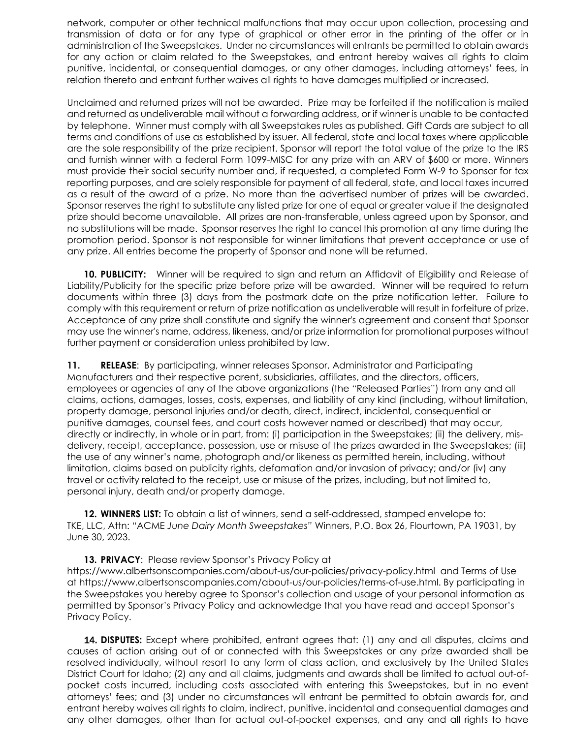network, computer or other technical malfunctions that may occur upon collection, processing and transmission of data or for any type of graphical or other error in the printing of the offer or in administration of the Sweepstakes. Under no circumstances will entrants be permitted to obtain awards for any action or claim related to the Sweepstakes, and entrant hereby waives all rights to claim punitive, incidental, or consequential damages, or any other damages, including attorneys' fees, in relation thereto and entrant further waives all rights to have damages multiplied or increased.

Unclaimed and returned prizes will not be awarded. Prize may be forfeited if the notification is mailed and returned as undeliverable mail without a forwarding address, or if winner is unable to be contacted by telephone. Winner must comply with all Sweepstakes rules as published. Gift Cards are subject to all terms and conditions of use as established by issuer. All federal, state and local taxes where applicable are the sole responsibility of the prize recipient. Sponsor will report the total value of the prize to the IRS and furnish winner with a federal Form 1099-MISC for any prize with an ARV of \$600 or more. Winners must provide their social security number and, if requested, a completed Form W-9 to Sponsor for tax reporting purposes, and are solely responsible for payment of all federal, state, and local taxes incurred as a result of the award of a prize. No more than the advertised number of prizes will be awarded. Sponsor reserves the right to substitute any listed prize for one of equal or greater value if the designated prize should become unavailable. All prizes are non-transferable, unless agreed upon by Sponsor, and no substitutions will be made. Sponsor reserves the right to cancel this promotion at any time during the promotion period. Sponsor is not responsible for winner limitations that prevent acceptance or use of any prize. All entries become the property of Sponsor and none will be returned.

**10. PUBLICITY:** Winner will be required to sign and return an Affidavit of Eligibility and Release of Liability/Publicity for the specific prize before prize will be awarded. Winner will be required to return documents within three (3) days from the postmark date on the prize notification letter. Failure to comply with this requirement or return of prize notification as undeliverable will result in forfeiture of prize. Acceptance of any prize shall constitute and signify the winner's agreement and consent that Sponsor may use the winner's name, address, likeness, and/or prize information for promotional purposes without further payment or consideration unless prohibited by law.

**11. RELEASE**: By participating, winner releases Sponsor, Administrator and Participating Manufacturers and their respective parent, subsidiaries, affiliates, and the directors, officers, employees or agencies of any of the above organizations (the "Released Parties") from any and all claims, actions, damages, losses, costs, expenses, and liability of any kind (including, without limitation, property damage, personal injuries and/or death, direct, indirect, incidental, consequential or punitive damages, counsel fees, and court costs however named or described) that may occur, directly or indirectly, in whole or in part, from: (i) participation in the Sweepstakes; (ii) the delivery, misdelivery, receipt, acceptance, possession, use or misuse of the prizes awarded in the Sweepstakes; (iii) the use of any winner's name, photograph and/or likeness as permitted herein, including, without limitation, claims based on publicity rights, defamation and/or invasion of privacy; and/or (iv) any travel or activity related to the receipt, use or misuse of the prizes, including, but not limited to, personal injury, death and/or property damage.

**12. WINNERS LIST:** To obtain a list of winners, send a self-addressed, stamped envelope to: TKE, LLC, Attn: "ACME *June Dairy Month Sweepstakes"* Winners, P.O. Box 26, Flourtown, PA 19031, by June 30, 2023.

**13. PRIVACY**: Please review Sponsor's Privacy Policy at https://www.albertsonscompanies.com/about-us/our-policies/privacy-policy.html and Terms of Use at https://www.albertsonscompanies.com/about-us/our-policies/terms-of-use.html. By participating in the Sweepstakes you hereby agree to Sponsor's collection and usage of your personal information as permitted by Sponsor's Privacy Policy and acknowledge that you have read and accept Sponsor's Privacy Policy.

14. **DISPUTES:** Except where prohibited, entrant agrees that: (1) any and all disputes, claims and causes of action arising out of or connected with this Sweepstakes or any prize awarded shall be resolved individually, without resort to any form of class action, and exclusively by the United States District Court for Idaho; (2) any and all claims, judgments and awards shall be limited to actual out-ofpocket costs incurred, including costs associated with entering this Sweepstakes, but in no event attorneys' fees; and (3) under no circumstances will entrant be permitted to obtain awards for, and entrant hereby waives all rights to claim, indirect, punitive, incidental and consequential damages and any other damages, other than for actual out-of-pocket expenses, and any and all rights to have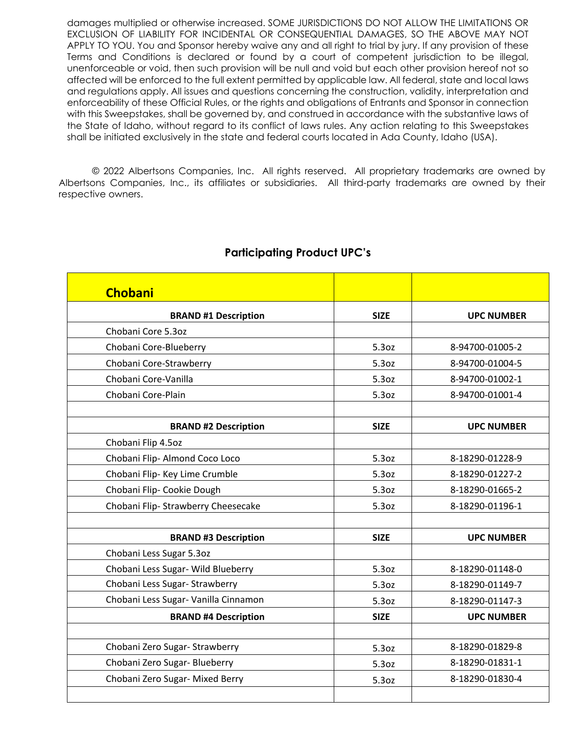damages multiplied or otherwise increased. SOME JURISDICTIONS DO NOT ALLOW THE LIMITATIONS OR EXCLUSION OF LIABILITY FOR INCIDENTAL OR CONSEQUENTIAL DAMAGES, SO THE ABOVE MAY NOT APPLY TO YOU. You and Sponsor hereby waive any and all right to trial by jury. If any provision of these Terms and Conditions is declared or found by a court of competent jurisdiction to be illegal, unenforceable or void, then such provision will be null and void but each other provision hereof not so affected will be enforced to the full extent permitted by applicable law. All federal, state and local laws and regulations apply. All issues and questions concerning the construction, validity, interpretation and enforceability of these Official Rules, or the rights and obligations of Entrants and Sponsor in connection with this Sweepstakes, shall be governed by, and construed in accordance with the substantive laws of the State of Idaho, without regard to its conflict of laws rules. Any action relating to this Sweepstakes shall be initiated exclusively in the state and federal courts located in Ada County, Idaho (USA).

© 2022 Albertsons Companies, Inc. All rights reserved. All proprietary trademarks are owned by Albertsons Companies, Inc., its affiliates or subsidiaries. All third-party trademarks are owned by their respective owners.

| <b>Chobani</b>                       |             |                   |
|--------------------------------------|-------------|-------------------|
| <b>BRAND #1 Description</b>          | <b>SIZE</b> | <b>UPC NUMBER</b> |
| Chobani Core 5.3oz                   |             |                   |
| Chobani Core-Blueberry               | 5.3oz       | 8-94700-01005-2   |
| Chobani Core-Strawberry              | 5.3oz       | 8-94700-01004-5   |
| Chobani Core-Vanilla                 | 5.3oz       | 8-94700-01002-1   |
| Chobani Core-Plain                   | 5.3oz       | 8-94700-01001-4   |
|                                      |             |                   |
| <b>BRAND #2 Description</b>          | <b>SIZE</b> | <b>UPC NUMBER</b> |
| Chobani Flip 4.5oz                   |             |                   |
| Chobani Flip-Almond Coco Loco        | 5.3oz       | 8-18290-01228-9   |
| Chobani Flip- Key Lime Crumble       | 5.3oz       | 8-18290-01227-2   |
| Chobani Flip- Cookie Dough           | 5.3oz       | 8-18290-01665-2   |
| Chobani Flip- Strawberry Cheesecake  | 5.3oz       | 8-18290-01196-1   |
|                                      |             |                   |
| <b>BRAND #3 Description</b>          | <b>SIZE</b> | <b>UPC NUMBER</b> |
| Chobani Less Sugar 5.3oz             |             |                   |
| Chobani Less Sugar- Wild Blueberry   | 5.3oz       | 8-18290-01148-0   |
| Chobani Less Sugar- Strawberry       | 5.3oz       | 8-18290-01149-7   |
| Chobani Less Sugar- Vanilla Cinnamon | 5.3oz       | 8-18290-01147-3   |
| <b>BRAND #4 Description</b>          | <b>SIZE</b> | <b>UPC NUMBER</b> |
|                                      |             |                   |
| Chobani Zero Sugar- Strawberry       | 5.3oz       | 8-18290-01829-8   |
| Chobani Zero Sugar- Blueberry        | 5.3oz       | 8-18290-01831-1   |
| Chobani Zero Sugar- Mixed Berry      | 5.3oz       | 8-18290-01830-4   |
|                                      |             |                   |

## **Participating Product UPC's**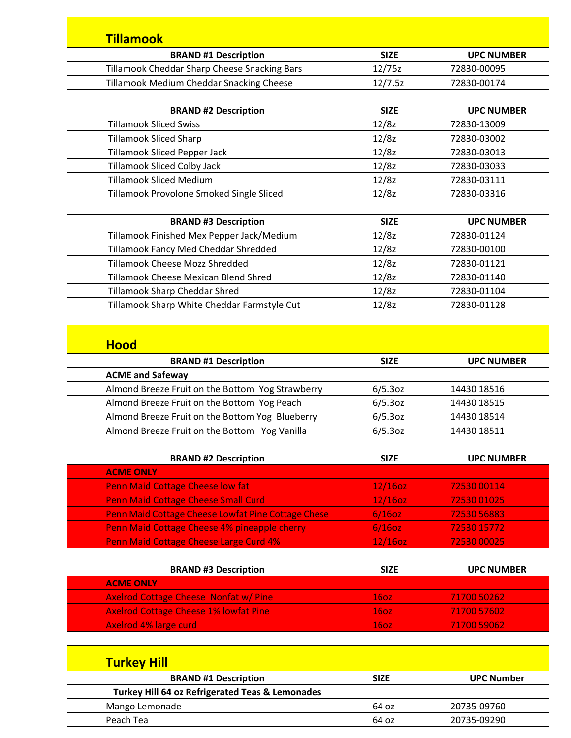| <b>Tillamook</b>                                   |             |                   |
|----------------------------------------------------|-------------|-------------------|
| <b>BRAND #1 Description</b>                        | <b>SIZE</b> | <b>UPC NUMBER</b> |
| Tillamook Cheddar Sharp Cheese Snacking Bars       | 12/75z      | 72830-00095       |
| Tillamook Medium Cheddar Snacking Cheese           | 12/7.5z     | 72830-00174       |
|                                                    |             |                   |
| <b>BRAND #2 Description</b>                        | <b>SIZE</b> | <b>UPC NUMBER</b> |
| <b>Tillamook Sliced Swiss</b>                      | 12/8z       | 72830-13009       |
| <b>Tillamook Sliced Sharp</b>                      | 12/8z       | 72830-03002       |
| <b>Tillamook Sliced Pepper Jack</b>                | 12/8z       | 72830-03013       |
| <b>Tillamook Sliced Colby Jack</b>                 | 12/8z       | 72830-03033       |
| <b>Tillamook Sliced Medium</b>                     | 12/8z       | 72830-03111       |
| Tillamook Provolone Smoked Single Sliced           | 12/8z       | 72830-03316       |
|                                                    |             |                   |
| <b>BRAND #3 Description</b>                        | <b>SIZE</b> | <b>UPC NUMBER</b> |
| Tillamook Finished Mex Pepper Jack/Medium          | 12/8z       | 72830-01124       |
| Tillamook Fancy Med Cheddar Shredded               | 12/8z       | 72830-00100       |
| Tillamook Cheese Mozz Shredded                     | 12/8z       | 72830-01121       |
| Tillamook Cheese Mexican Blend Shred               | 12/8z       | 72830-01140       |
| Tillamook Sharp Cheddar Shred                      | 12/8z       | 72830-01104       |
| Tillamook Sharp White Cheddar Farmstyle Cut        | 12/8z       | 72830-01128       |
| <b>Hood</b>                                        |             |                   |
| <b>BRAND #1 Description</b>                        | <b>SIZE</b> | <b>UPC NUMBER</b> |
| <b>ACME and Safeway</b>                            |             |                   |
| Almond Breeze Fruit on the Bottom Yog Strawberry   | 6/5.3oz     | 14430 18516       |
| Almond Breeze Fruit on the Bottom Yog Peach        | 6/5.3oz     | 14430 18515       |
| Almond Breeze Fruit on the Bottom Yog Blueberry    | 6/5.3oz     | 14430 18514       |
| Almond Breeze Fruit on the Bottom Yog Vanilla      | 6/5.3oz     | 14430 18511       |
|                                                    |             |                   |
| <b>BRAND #2 Description</b>                        | <b>SIZE</b> | <b>UPC NUMBER</b> |
| <b>ACME ONLY</b>                                   |             |                   |
| Penn Maid Cottage Cheese low fat                   | $12/16$ oz  | 72530 00114       |
| <b>Penn Maid Cottage Cheese Small Curd</b>         | 12/16oz     | 72530 01025       |
| Penn Maid Cottage Cheese Lowfat Pine Cottage Chese | $6/16$ oz   | 72530 56883       |
| Penn Maid Cottage Cheese 4% pineapple cherry       | $6/16$ oz   | 72530 15772       |
| Penn Maid Cottage Cheese Large Curd 4%             | 12/16oz     | 72530 00025       |
| <b>BRAND #3 Description</b>                        | <b>SIZE</b> | <b>UPC NUMBER</b> |
| <b>ACME ONLY</b>                                   |             |                   |
| <b>Axelrod Cottage Cheese Nonfat w/ Pine</b>       | <b>160Z</b> | 71700 50262       |
| <b>Axelrod Cottage Cheese 1% lowfat Pine</b>       | <b>160Z</b> | 71700 57602       |
| <b>Axelrod 4% large curd</b>                       | <b>160Z</b> | 71700 59062       |
|                                                    |             |                   |
| <b>Turkey Hill</b>                                 |             |                   |
| <b>BRAND #1 Description</b>                        | <b>SIZE</b> | <b>UPC Number</b> |
| Turkey Hill 64 oz Refrigerated Teas & Lemonades    |             |                   |
| Mango Lemonade                                     | 64 oz       | 20735-09760       |
| Peach Tea                                          | 64 oz       | 20735-09290       |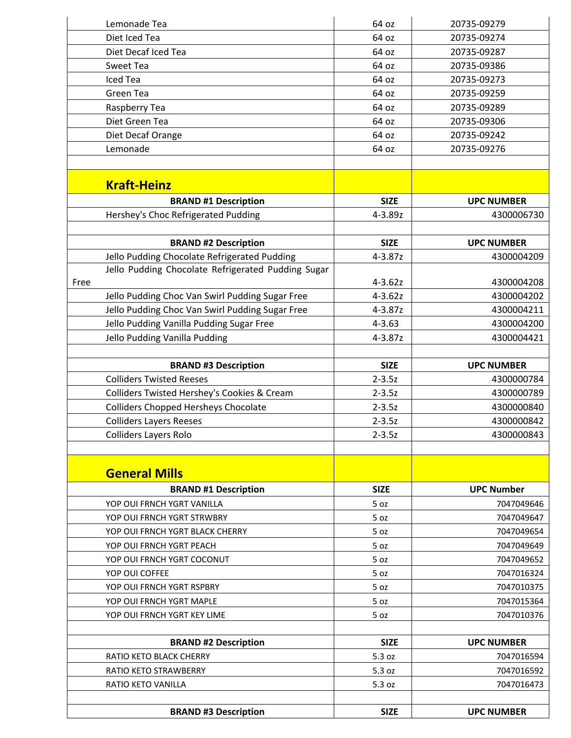| Lemonade Tea                                       | 64 oz       | 20735-09279       |
|----------------------------------------------------|-------------|-------------------|
| Diet Iced Tea                                      | 64 oz       | 20735-09274       |
| Diet Decaf Iced Tea                                | 64 oz       | 20735-09287       |
| Sweet Tea                                          | 64 oz       | 20735-09386       |
| Iced Tea                                           | 64 oz       | 20735-09273       |
| Green Tea                                          | 64 oz       | 20735-09259       |
| Raspberry Tea                                      | 64 oz       | 20735-09289       |
| Diet Green Tea                                     | 64 oz       | 20735-09306       |
| Diet Decaf Orange                                  | 64 oz       | 20735-09242       |
| Lemonade                                           | 64 oz       | 20735-09276       |
|                                                    |             |                   |
| <b>Kraft-Heinz</b>                                 |             |                   |
| <b>BRAND #1 Description</b>                        | <b>SIZE</b> | <b>UPC NUMBER</b> |
| Hershey's Choc Refrigerated Pudding                | 4-3.89z     | 4300006730        |
|                                                    |             |                   |
| <b>BRAND #2 Description</b>                        | <b>SIZE</b> | <b>UPC NUMBER</b> |
| Jello Pudding Chocolate Refrigerated Pudding       | 4-3.87z     | 4300004209        |
| Jello Pudding Chocolate Refrigerated Pudding Sugar |             |                   |
| Free                                               | $4 - 3.62z$ | 4300004208        |
| Jello Pudding Choc Van Swirl Pudding Sugar Free    | $4 - 3.62z$ | 4300004202        |
| Jello Pudding Choc Van Swirl Pudding Sugar Free    | 4-3.87z     | 4300004211        |
| Jello Pudding Vanilla Pudding Sugar Free           | $4 - 3.63$  | 4300004200        |
| Jello Pudding Vanilla Pudding                      | 4-3.87z     | 4300004421        |
|                                                    |             |                   |
| <b>BRAND #3 Description</b>                        | <b>SIZE</b> | <b>UPC NUMBER</b> |
| <b>Colliders Twisted Reeses</b>                    | $2 - 3.5z$  | 4300000784        |
| Colliders Twisted Hershey's Cookies & Cream        | $2 - 3.5z$  | 4300000789        |
| <b>Colliders Chopped Hersheys Chocolate</b>        | $2 - 3.5z$  | 4300000840        |
| <b>Colliders Layers Reeses</b>                     | $2 - 3.5z$  | 4300000842        |
| <b>Colliders Layers Rolo</b>                       | $2 - 3.5z$  | 4300000843        |
|                                                    |             |                   |
| <b>General Mills</b>                               |             |                   |
| <b>BRAND #1 Description</b>                        | <b>SIZE</b> | <b>UPC Number</b> |
| YOP OUI FRNCH YGRT VANILLA                         | 5 oz        | 7047049646        |
| YOP OUI FRNCH YGRT STRWBRY                         | 5 oz        | 7047049647        |
| YOP OUI FRNCH YGRT BLACK CHERRY                    | 5 oz        | 7047049654        |
| YOP OUI FRNCH YGRT PEACH                           | 5 oz        | 7047049649        |
| YOP OUI FRNCH YGRT COCONUT                         | 5 oz        | 7047049652        |
| YOP OUI COFFEE                                     | 5 oz        | 7047016324        |
| YOP OUI FRNCH YGRT RSPBRY                          | 5 oz        | 7047010375        |
| YOP OUI FRNCH YGRT MAPLE                           | 5 oz        | 7047015364        |
| YOP OUI FRNCH YGRT KEY LIME                        | 5 oz        | 7047010376        |
| <b>BRAND #2 Description</b>                        | <b>SIZE</b> | <b>UPC NUMBER</b> |
| RATIO KETO BLACK CHERRY                            | 5.3 oz      | 7047016594        |
| <b>RATIO KETO STRAWBERRY</b>                       | 5.3 oz      | 7047016592        |
|                                                    |             |                   |
| RATIO KETO VANILLA                                 | 5.3 oz      | 7047016473        |
| <b>BRAND #3 Description</b>                        | <b>SIZE</b> | <b>UPC NUMBER</b> |